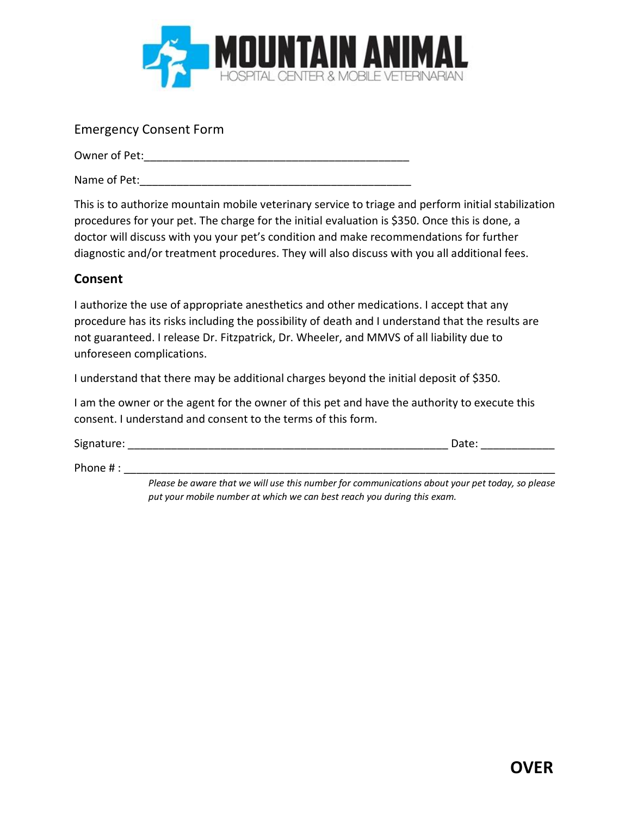

## Emergency Consent Form

Owner of Pet:\_\_\_\_\_\_\_\_\_\_\_\_\_\_\_\_\_\_\_\_\_\_\_\_\_\_\_\_\_\_\_\_\_\_\_\_\_\_\_\_\_\_\_

Name of Pet:

This is to authorize mountain mobile veterinary service to triage and perform initial stabilization procedures for your pet. The charge for the initial evaluation is \$350. Once this is done, a doctor will discuss with you your pet's condition and make recommendations for further diagnostic and/or treatment procedures. They will also discuss with you all additional fees.

## **Consent**

I authorize the use of appropriate anesthetics and other medications. I accept that any procedure has its risks including the possibility of death and I understand that the results are not guaranteed. I release Dr. Fitzpatrick, Dr. Wheeler, and MMVS of all liability due to unforeseen complications.

I understand that there may be additional charges beyond the initial deposit of \$350.

I am the owner or the agent for the owner of this pet and have the authority to execute this consent. I understand and consent to the terms of this form.

Signature: The contract of the contract of the contract of the contract of the contract of the contract of the contract of the contract of the contract of the contract of the contract of the contract of the contract of the

Phone  $\#$  :

*Please be aware that we will use this number for communications about your pet today, so please put your mobile number at which we can best reach you during this exam.*